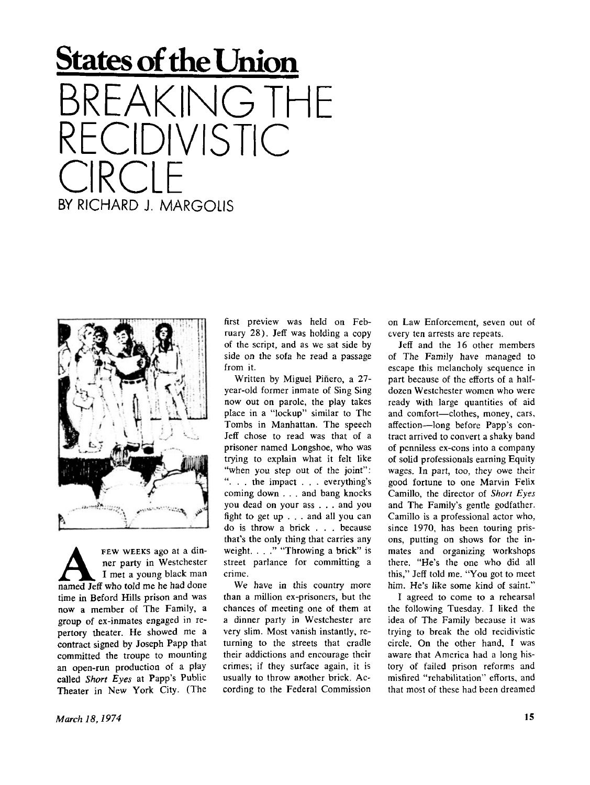## **States of the Union**  KING THE **DIVISTIC** CIRCLE<br>Expiritos Litera BY RICHARD J. MARGOLIS



**A EEW WEEKS ago at a din-**ner party in Westchester
I met a young black man
named Jeff who told me he had done FEW WEEKS ago at a dinner party in Westchester I met a young black man time in Beford Hills prison and was now a member of The Family, a group of ex-inmates engaged in repertory theater. He showed me a contract signed by Joseph Papp that committed the troupe to mounting an open-run production of a play called *Short Eyes* at Papp's Public Theater in New York City. (The

first preview was held on February 28). Jeff was holding a copy of the script, and as we sat side by side on the sofa he read a passage from it.

Written by Miguel Piñero, a 27year-old former inmate of Sing Sing now out on parole, the play takes place in a "lockup" similar to The Tombs in Manhattan. The speech Jeff chose to read was that of a prisoner named Longshoe, who was trying to explain what it felt like "when you step out of the joint": ". . . the impact . . . everything's coming down . . . and bang knocks you dead on your ass . . . and you fight to get up . . . and all you can do is throw a brick . . . because that's the only thing that carries any weight. . . ." "Throwing a brick" is street parlance for committing a crime.

We have in this country more than a million ex-prisoners, but the chances of meeting one of them at a dinner party in Westchester are very slim. Most vanish instantly, returning to the streets that cradle their addictions and encourage their crimes; if they surface again, it is usually to throw another brick. According to the Federal Commission on Law Enforcement, seven out of every ten arrests are repeats.

Jeff and the 16 other members of The Family have managed to escape this melancholy sequence in part because of the efforts of a halfdozen Westchester women who were ready with large quantities of aid and comfort—clothes, money, cars, affection—long before Papp's contract arrived to convert a shaky band of penniless ex-cons into a company of solid professionals earning Equity wages. In part, too, they owe their good fortune to one Marvin Felix Camillo, the director of *Short Eyes*  and The Family's gentle godfather. Camillo is a professional actor who, since 1970, has been touring prisons, putting on shows for the inmates and organizing workshops there. "He's the one who did all this," Jeff told me. "You got to meet him. He's like some kind of saint."

I agreed to come to a rehearsal the following Tuesday. I liked the idea of The Family because it was trying to break the old recidivistic circle. On the other hand, I was aware that America had a long history of failed prison reforms and misfired "rehabilitation" efforts, and that most of these had been dreamed